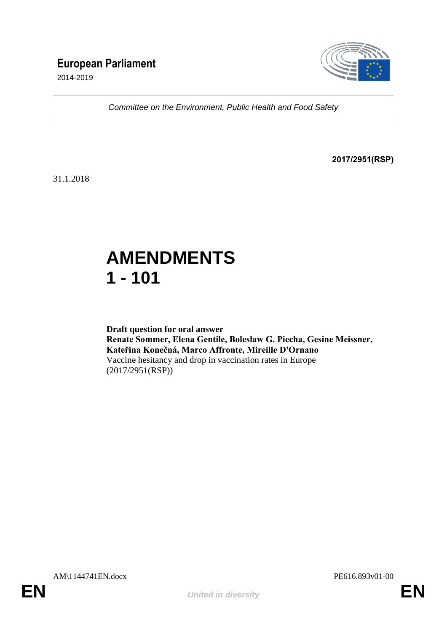# **European Parliament**

2014-2019



*Committee on the Environment, Public Health and Food Safety*

**2017/2951(RSP)**

31.1.2018

# **AMENDMENTS 1 - 101**

**Draft question for oral answer Renate Sommer, Elena Gentile, Bolesław G. Piecha, Gesine Meissner, Kateřina Konečná, Marco Affronte, Mireille D'Ornano** Vaccine hesitancy and drop in vaccination rates in Europe (2017/2951(RSP))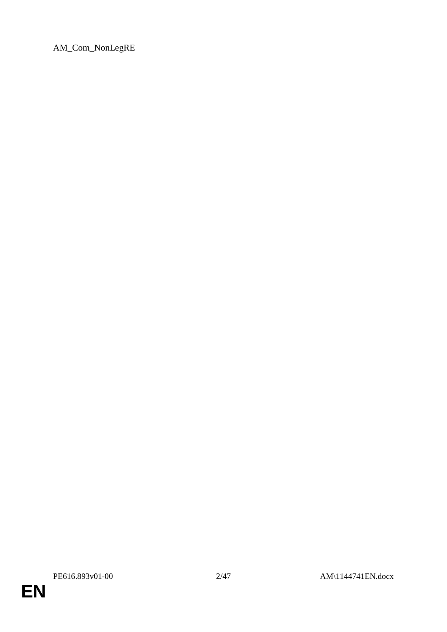AM\_Com\_NonLegRE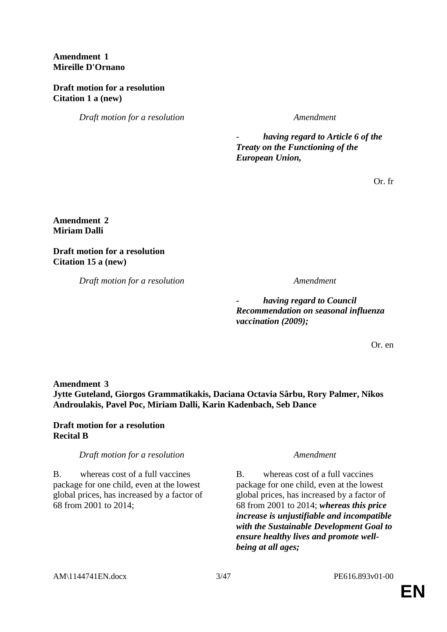# **Amendment 1 Mireille D'Ornano**

# **Draft motion for a resolution Citation 1 a (new)**

*Draft motion for a resolution Amendment*

- *having regard to Article 6 of the Treaty on the Functioning of the European Union,*

Or. fr

### **Amendment 2 Miriam Dalli**

**Draft motion for a resolution Citation 15 a (new)**

*Draft motion for a resolution Amendment*

*- having regard to Council Recommendation on seasonal influenza vaccination (2009);*

Or. en

**Amendment 3 Jytte Guteland, Giorgos Grammatikakis, Daciana Octavia Sârbu, Rory Palmer, Nikos Androulakis, Pavel Poc, Miriam Dalli, Karin Kadenbach, Seb Dance**

# **Draft motion for a resolution Recital B**

# *Draft motion for a resolution Amendment*

B. whereas cost of a full vaccines package for one child, even at the lowest global prices, has increased by a factor of 68 from 2001 to 2014;

B. whereas cost of a full vaccines package for one child, even at the lowest global prices, has increased by a factor of 68 from 2001 to 2014; *whereas this price increase is unjustifiable and incompatible with the Sustainable Development Goal to ensure healthy lives and promote wellbeing at all ages;*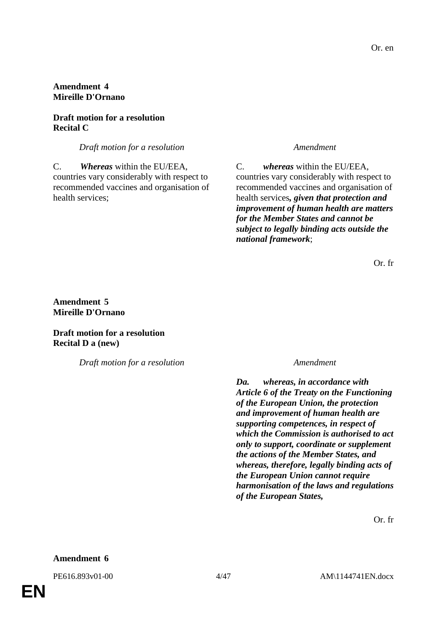# **Amendment 4 Mireille D'Ornano**

# **Draft motion for a resolution Recital C**

*Draft motion for a resolution Amendment*

C. *Whereas* within the EU/EEA, countries vary considerably with respect to recommended vaccines and organisation of health services;

C. *whereas* within the EU/EEA, countries vary considerably with respect to recommended vaccines and organisation of health services*, given that protection and improvement of human health are matters for the Member States and cannot be subject to legally binding acts outside the national framework*;

Or. fr

**Amendment 5 Mireille D'Ornano**

**Draft motion for a resolution Recital D a (new)**

*Draft motion for a resolution Amendment*

*Da. whereas, in accordance with Article 6 of the Treaty on the Functioning of the European Union, the protection and improvement of human health are supporting competences, in respect of which the Commission is authorised to act only to support, coordinate or supplement the actions of the Member States, and whereas, therefore, legally binding acts of the European Union cannot require harmonisation of the laws and regulations of the European States,*

Or. fr

#### **Amendment 6**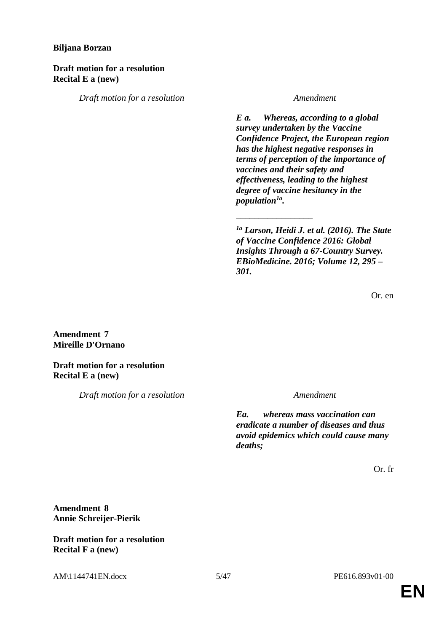### **Biljana Borzan**

### **Draft motion for a resolution Recital E a (new)**

*Draft motion for a resolution Amendment*

*E a. Whereas, according to a global survey undertaken by the Vaccine Confidence Project, the European region has the highest negative responses in terms of perception of the importance of vaccines and their safety and effectiveness, leading to the highest degree of vaccine hesitancy in the population1a .*

*1a Larson, Heidi J. et al. (2016). The State of Vaccine Confidence 2016: Global Insights Through a 67-Country Survey. EBioMedicine. 2016; Volume 12, 295 – 301.*

\_\_\_\_\_\_\_\_\_\_\_\_\_\_\_\_\_

Or. en

# **Amendment 7 Mireille D'Ornano**

**Draft motion for a resolution Recital E a (new)**

*Draft motion for a resolution Amendment*

*Ea. whereas mass vaccination can eradicate a number of diseases and thus avoid epidemics which could cause many deaths;*

Or. fr

# **Amendment 8 Annie Schreijer-Pierik**

### **Draft motion for a resolution Recital F a (new)**

AM\1144741EN.docx 5/47 PE616.893v01-00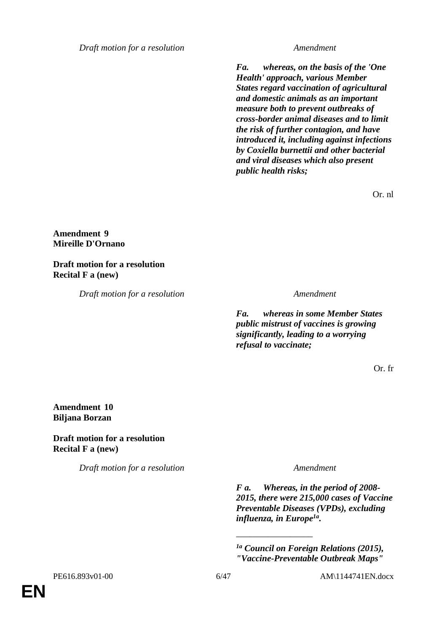*Draft motion for a resolution Amendment*

*Fa. whereas, on the basis of the 'One Health' approach, various Member States regard vaccination of agricultural and domestic animals as an important measure both to prevent outbreaks of cross-border animal diseases and to limit the risk of further contagion, and have introduced it, including against infections by Coxiella burnettii and other bacterial and viral diseases which also present public health risks;*

Or. nl

#### **Amendment 9 Mireille D'Ornano**

# **Draft motion for a resolution Recital F a (new)**

*Draft motion for a resolution Amendment*

*Fa. whereas in some Member States public mistrust of vaccines is growing significantly, leading to a worrying refusal to vaccinate;*

Or. fr

### **Amendment 10 Biljana Borzan**

### **Draft motion for a resolution Recital F a (new)**

*Draft motion for a resolution Amendment*

*F a. Whereas, in the period of 2008- 2015, there were 215,000 cases of Vaccine Preventable Diseases (VPDs), excluding influenza, in Europe1a .*

*1a Council on Foreign Relations (2015), "Vaccine-Preventable Outbreak Maps"* 

\_\_\_\_\_\_\_\_\_\_\_\_\_\_\_\_\_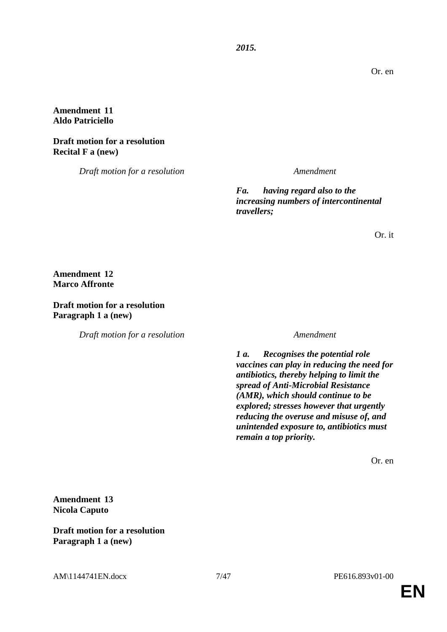Or. en

### **Amendment 11 Aldo Patriciello**

### **Draft motion for a resolution Recital F a (new)**

*Draft motion for a resolution Amendment*

*Fa. having regard also to the increasing numbers of intercontinental travellers;*

*2015.*

Or. it

**Amendment 12 Marco Affronte**

**Draft motion for a resolution Paragraph 1 a (new)**

*Draft motion for a resolution Amendment*

*1 a. Recognises the potential role vaccines can play in reducing the need for antibiotics, thereby helping to limit the spread of Anti-Microbial Resistance (AMR), which should continue to be explored; stresses however that urgently reducing the overuse and misuse of, and unintended exposure to, antibiotics must remain a top priority.*

Or. en

**Amendment 13 Nicola Caputo**

**Draft motion for a resolution Paragraph 1 a (new)**

AM\1144741EN.docx 7/47 PE616.893v01-00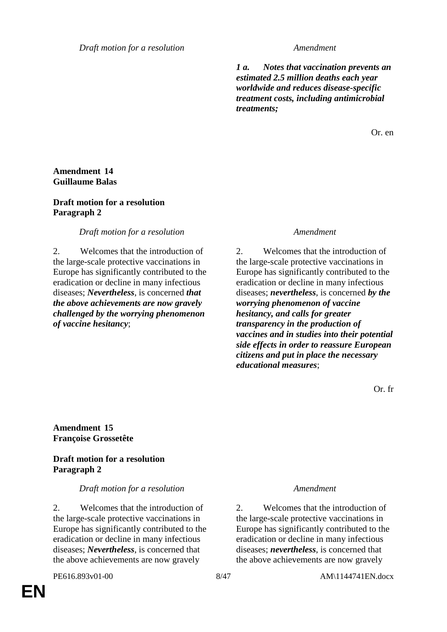*Draft motion for a resolution Amendment*

*1 a. Notes that vaccination prevents an estimated 2.5 million deaths each year worldwide and reduces disease-specific treatment costs, including antimicrobial treatments;*

Or. en

### **Amendment 14 Guillaume Balas**

#### **Draft motion for a resolution Paragraph 2**

### *Draft motion for a resolution Amendment*

2. Welcomes that the introduction of the large-scale protective vaccinations in Europe has significantly contributed to the eradication or decline in many infectious diseases; *Nevertheless*, is concerned *that the above achievements are now gravely challenged by the worrying phenomenon of vaccine hesitancy*;

2. Welcomes that the introduction of the large-scale protective vaccinations in Europe has significantly contributed to the eradication or decline in many infectious diseases; *nevertheless*, is concerned *by the worrying phenomenon of vaccine hesitancy, and calls for greater transparency in the production of vaccines and in studies into their potential side effects in order to reassure European citizens and put in place the necessary educational measures*;

Or. fr

**Amendment 15 Françoise Grossetête**

# **Draft motion for a resolution Paragraph 2**

#### *Draft motion for a resolution Amendment*

2. Welcomes that the introduction of the large-scale protective vaccinations in Europe has significantly contributed to the eradication or decline in many infectious diseases; *Nevertheless*, is concerned that the above achievements are now gravely

**EN**

2. Welcomes that the introduction of the large-scale protective vaccinations in Europe has significantly contributed to the eradication or decline in many infectious diseases; *nevertheless*, is concerned that the above achievements are now gravely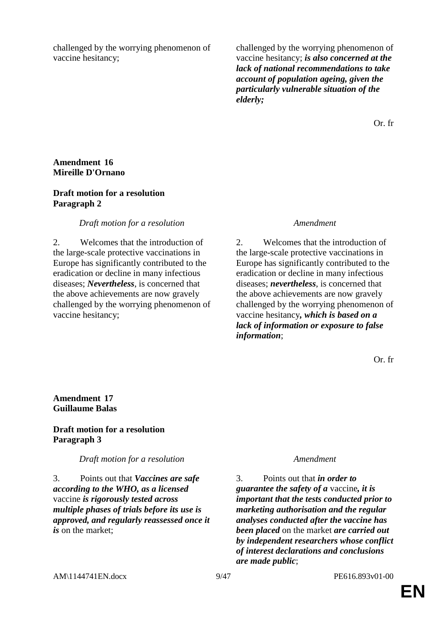challenged by the worrying phenomenon of vaccine hesitancy;

challenged by the worrying phenomenon of vaccine hesitancy; *is also concerned at the lack of national recommendations to take account of population ageing, given the particularly vulnerable situation of the elderly;*

Or. fr

#### **Amendment 16 Mireille D'Ornano**

### **Draft motion for a resolution Paragraph 2**

#### *Draft motion for a resolution Amendment*

2. Welcomes that the introduction of the large-scale protective vaccinations in Europe has significantly contributed to the eradication or decline in many infectious diseases; *Nevertheless*, is concerned that the above achievements are now gravely challenged by the worrying phenomenon of vaccine hesitancy;

2. Welcomes that the introduction of the large-scale protective vaccinations in Europe has significantly contributed to the eradication or decline in many infectious diseases; *nevertheless*, is concerned that the above achievements are now gravely challenged by the worrying phenomenon of vaccine hesitancy*, which is based on a lack of information or exposure to false information*;

Or. fr

### **Amendment 17 Guillaume Balas**

### **Draft motion for a resolution Paragraph 3**

*Draft motion for a resolution Amendment*

3. Points out that *Vaccines are safe according to the WHO, as a licensed*  vaccine *is rigorously tested across multiple phases of trials before its use is approved, and regularly reassessed once it is* on the market;

3. Points out that *in order to guarantee the safety of a* vaccine*, it is important that the tests conducted prior to marketing authorisation and the regular analyses conducted after the vaccine has been placed* on the market *are carried out by independent researchers whose conflict of interest declarations and conclusions are made public*;

AM\1144741EN.docx 9/47 PE616.893v01-00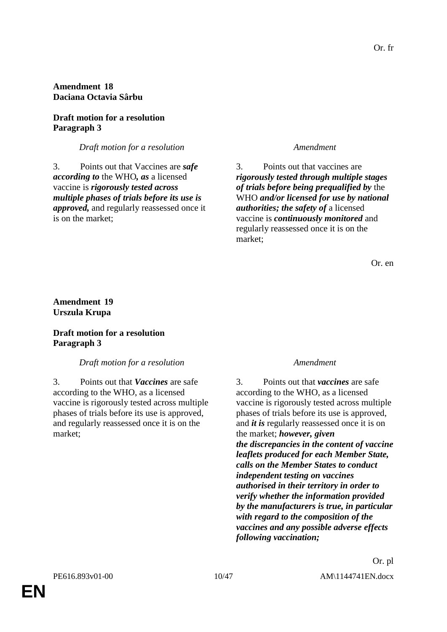### **Amendment 18 Daciana Octavia Sârbu**

# **Draft motion for a resolution Paragraph 3**

### *Draft motion for a resolution Amendment*

3. Points out that Vaccines are *safe according to* the WHO*, as* a licensed vaccine is *rigorously tested across multiple phases of trials before its use is approved,* and regularly reassessed once it is on the market;

3. Points out that vaccines are *rigorously tested through multiple stages of trials before being prequalified by* the WHO *and/or licensed for use by national authorities; the safety of* a licensed vaccine is *continuously monitored* and regularly reassessed once it is on the market;

Or. en

### **Amendment 19 Urszula Krupa**

### **Draft motion for a resolution Paragraph 3**

# *Draft motion for a resolution Amendment*

3. Points out that *Vaccines* are safe according to the WHO, as a licensed vaccine is rigorously tested across multiple phases of trials before its use is approved, and regularly reassessed once it is on the market;

3. Points out that *vaccines* are safe according to the WHO, as a licensed vaccine is rigorously tested across multiple phases of trials before its use is approved, and *it is* regularly reassessed once it is on the market; *however, given the discrepancies in the content of vaccine leaflets produced for each Member State, calls on the Member States to conduct independent testing on vaccines authorised in their territory in order to verify whether the information provided by the manufacturers is true, in particular with regard to the composition of the vaccines and any possible adverse effects following vaccination;*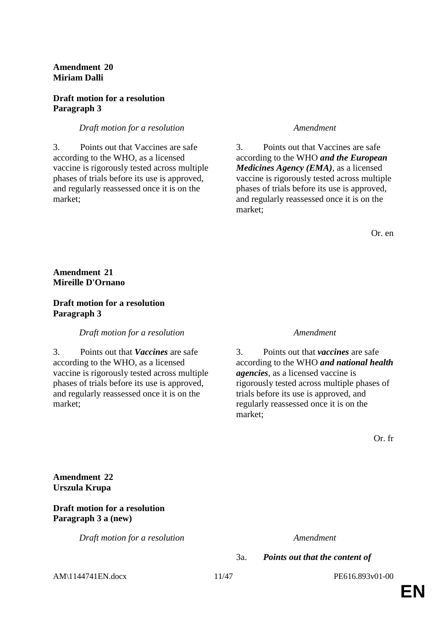**Amendment 20 Miriam Dalli**

#### **Draft motion for a resolution Paragraph 3**

#### *Draft motion for a resolution Amendment*

3. Points out that Vaccines are safe according to the WHO, as a licensed vaccine is rigorously tested across multiple phases of trials before its use is approved, and regularly reassessed once it is on the market;

3. Points out that Vaccines are safe according to the WHO *and the European Medicines Agency (EMA)*, as a licensed vaccine is rigorously tested across multiple phases of trials before its use is approved, and regularly reassessed once it is on the market;

Or. en

#### **Amendment 21 Mireille D'Ornano**

#### **Draft motion for a resolution Paragraph 3**

*Draft motion for a resolution Amendment*

3. Points out that *Vaccines* are safe according to the WHO, as a licensed vaccine is rigorously tested across multiple phases of trials before its use is approved, and regularly reassessed once it is on the market;

3. Points out that *vaccines* are safe according to the WHO *and national health agencies*, as a licensed vaccine is rigorously tested across multiple phases of trials before its use is approved, and regularly reassessed once it is on the market;

Or. fr

**Amendment 22 Urszula Krupa**

#### **Draft motion for a resolution Paragraph 3 a (new)**

*Draft motion for a resolution Amendment*

3a. *Points out that the content of* 

AM\1144741EN.docx 11/47 PE616.893v01-00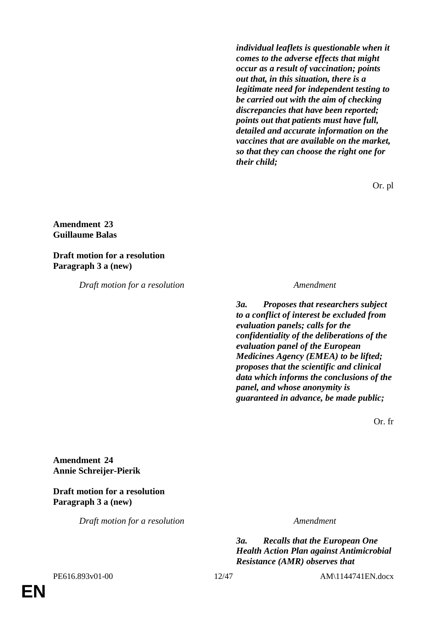*individual leaflets is questionable when it comes to the adverse effects that might occur as a result of vaccination; points out that, in this situation, there is a legitimate need for independent testing to be carried out with the aim of checking discrepancies that have been reported; points out that patients must have full, detailed and accurate information on the vaccines that are available on the market, so that they can choose the right one for their child;*

Or. pl

#### **Amendment 23 Guillaume Balas**

**Draft motion for a resolution Paragraph 3 a (new)**

*Draft motion for a resolution Amendment*

*3a. Proposes that researchers subject to a conflict of interest be excluded from evaluation panels; calls for the confidentiality of the deliberations of the evaluation panel of the European Medicines Agency (EMEA) to be lifted; proposes that the scientific and clinical data which informs the conclusions of the panel, and whose anonymity is guaranteed in advance, be made public;*

Or. fr

**Amendment 24 Annie Schreijer-Pierik**

# **Draft motion for a resolution Paragraph 3 a (new)**

*Draft motion for a resolution Amendment*

*3a. Recalls that the European One Health Action Plan against Antimicrobial Resistance (AMR) observes that* 

**EN**

PE616.893v01-00 12/47 AM\1144741EN.docx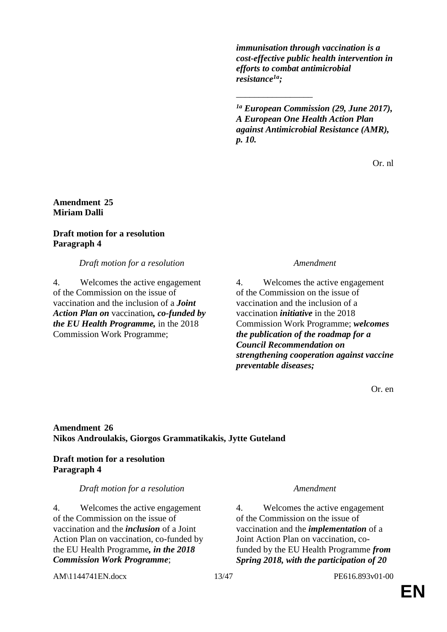*immunisation through vaccination is a cost-effective public health intervention in efforts to combat antimicrobial resistance1a;*

*1a European Commission (29, June 2017), A European One Health Action Plan against Antimicrobial Resistance (AMR), p. 10.*

\_\_\_\_\_\_\_\_\_\_\_\_\_\_\_\_\_

Or. nl

### **Amendment 25 Miriam Dalli**

### **Draft motion for a resolution Paragraph 4**

*Draft motion for a resolution Amendment*

4. Welcomes the active engagement of the Commission on the issue of vaccination and the inclusion of a *Joint Action Plan on* vaccination*, co-funded by the EU Health Programme,* in the 2018 Commission Work Programme;

4. Welcomes the active engagement of the Commission on the issue of vaccination and the inclusion of a vaccination *initiative* in the 2018 Commission Work Programme; *welcomes the publication of the roadmap for a Council Recommendation on strengthening cooperation against vaccine preventable diseases;*

Or. en

# **Amendment 26 Nikos Androulakis, Giorgos Grammatikakis, Jytte Guteland**

# **Draft motion for a resolution Paragraph 4**

# *Draft motion for a resolution Amendment*

4. Welcomes the active engagement of the Commission on the issue of vaccination and the *inclusion* of a Joint Action Plan on vaccination, co-funded by the EU Health Programme*, in the 2018 Commission Work Programme*;

4. Welcomes the active engagement of the Commission on the issue of vaccination and the *implementation* of a Joint Action Plan on vaccination, cofunded by the EU Health Programme *from Spring 2018, with the participation of 20* 

AM\1144741EN.docx 13/47 PE616.893v01-00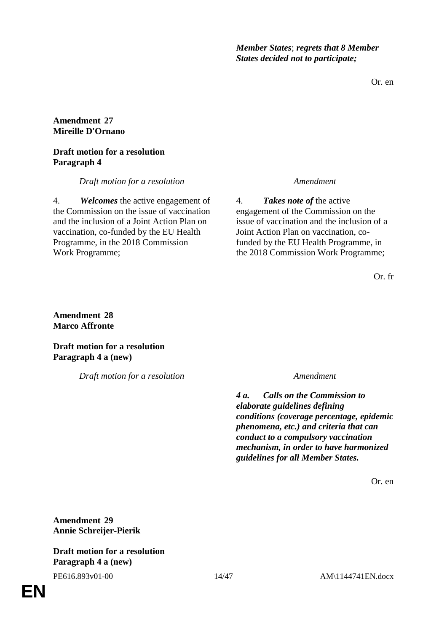*Member States*; *regrets that 8 Member States decided not to participate;*

Or. en

### **Amendment 27 Mireille D'Ornano**

### **Draft motion for a resolution Paragraph 4**

*Draft motion for a resolution Amendment*

4. *Welcomes* the active engagement of the Commission on the issue of vaccination and the inclusion of a Joint Action Plan on vaccination, co-funded by the EU Health Programme, in the 2018 Commission Work Programme;

4. *Takes note of* the active engagement of the Commission on the issue of vaccination and the inclusion of a Joint Action Plan on vaccination, cofunded by the EU Health Programme, in the 2018 Commission Work Programme;

Or. fr

#### **Amendment 28 Marco Affronte**

**Draft motion for a resolution Paragraph 4 a (new)**

*Draft motion for a resolution Amendment*

*4 a. Calls on the Commission to elaborate guidelines defining conditions (coverage percentage, epidemic phenomena, etc.) and criteria that can conduct to a compulsory vaccination mechanism, in order to have harmonized guidelines for all Member States.*

Or. en

**Amendment 29 Annie Schreijer-Pierik**

**Draft motion for a resolution Paragraph 4 a (new)**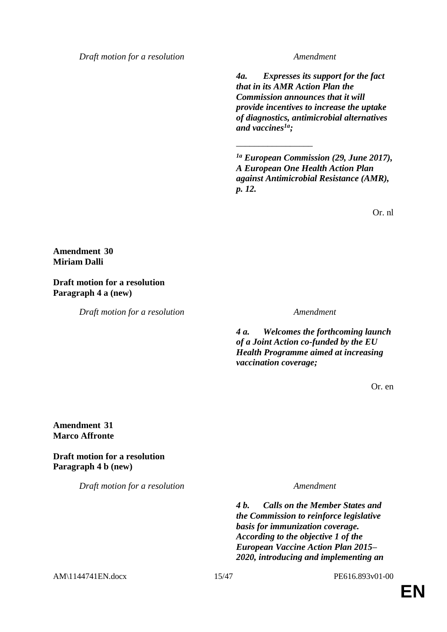*Draft motion for a resolution Amendment*

*4a. Expresses its support for the fact that in its AMR Action Plan the Commission announces that it will provide incentives to increase the uptake of diagnostics, antimicrobial alternatives and vaccines1a;*

*1a European Commission (29, June 2017), A European One Health Action Plan against Antimicrobial Resistance (AMR), p. 12.*

\_\_\_\_\_\_\_\_\_\_\_\_\_\_\_\_\_

Or. nl

**Amendment 30 Miriam Dalli**

**Draft motion for a resolution Paragraph 4 a (new)**

*Draft motion for a resolution Amendment*

*4 a. Welcomes the forthcoming launch of a Joint Action co-funded by the EU Health Programme aimed at increasing vaccination coverage;*

Or. en

#### **Amendment 31 Marco Affronte**

**Draft motion for a resolution Paragraph 4 b (new)**

*Draft motion for a resolution Amendment*

*4 b. Calls on the Member States and the Commission to reinforce legislative basis for immunization coverage. According to the objective 1 of the European Vaccine Action Plan 2015– 2020, introducing and implementing an* 

AM\1144741EN.docx 15/47 PE616.893v01-00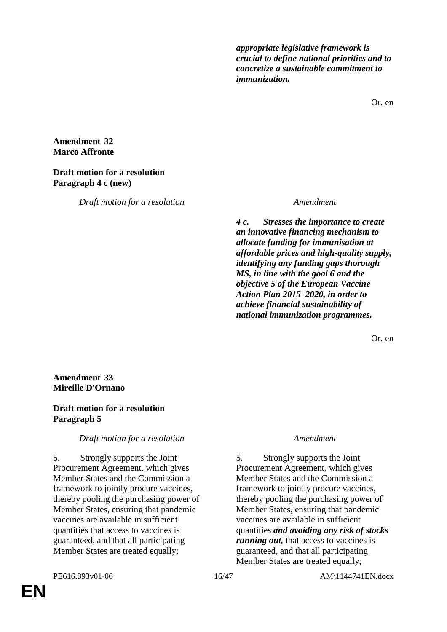*appropriate legislative framework is crucial to define national priorities and to concretize a sustainable commitment to immunization.*

Or. en

### **Amendment 32 Marco Affronte**

#### **Draft motion for a resolution Paragraph 4 c (new)**

*Draft motion for a resolution Amendment*

*4 c. Stresses the importance to create an innovative financing mechanism to allocate funding for immunisation at affordable prices and high-quality supply, identifying any funding gaps thorough MS, in line with the goal 6 and the objective 5 of the European Vaccine Action Plan 2015–2020, in order to achieve financial sustainability of national immunization programmes.*

Or. en

### **Amendment 33 Mireille D'Ornano**

# **Draft motion for a resolution Paragraph 5**

# *Draft motion for a resolution Amendment*

5. Strongly supports the Joint Procurement Agreement, which gives Member States and the Commission a framework to jointly procure vaccines, thereby pooling the purchasing power of Member States, ensuring that pandemic vaccines are available in sufficient quantities that access to vaccines is guaranteed, and that all participating Member States are treated equally;

5. Strongly supports the Joint Procurement Agreement, which gives Member States and the Commission a framework to jointly procure vaccines, thereby pooling the purchasing power of Member States, ensuring that pandemic vaccines are available in sufficient quantities *and avoiding any risk of stocks running out, that access to vaccines is* guaranteed, and that all participating Member States are treated equally;

**EN**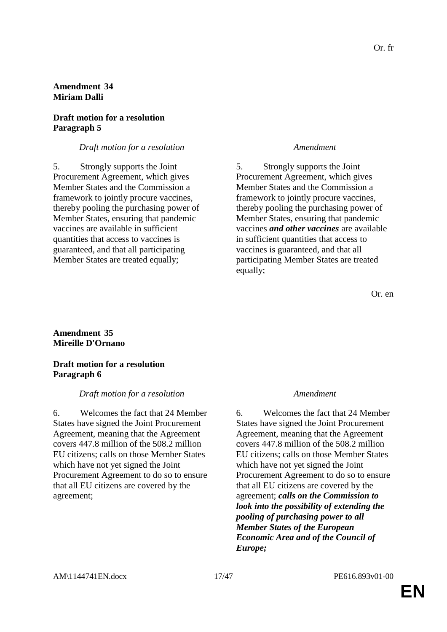# **Amendment 34 Miriam Dalli**

# **Draft motion for a resolution Paragraph 5**

#### *Draft motion for a resolution Amendment*

5. Strongly supports the Joint Procurement Agreement, which gives Member States and the Commission a framework to jointly procure vaccines, thereby pooling the purchasing power of Member States, ensuring that pandemic vaccines are available in sufficient quantities that access to vaccines is guaranteed, and that all participating Member States are treated equally;

5. Strongly supports the Joint Procurement Agreement, which gives Member States and the Commission a framework to jointly procure vaccines, thereby pooling the purchasing power of Member States, ensuring that pandemic vaccines *and other vaccines* are available in sufficient quantities that access to vaccines is guaranteed, and that all participating Member States are treated equally;

### **Amendment 35 Mireille D'Ornano**

### **Draft motion for a resolution Paragraph 6**

#### *Draft motion for a resolution Amendment*

6. Welcomes the fact that 24 Member States have signed the Joint Procurement Agreement, meaning that the Agreement covers 447.8 million of the 508.2 million EU citizens; calls on those Member States which have not yet signed the Joint Procurement Agreement to do so to ensure that all EU citizens are covered by the agreement;

6. Welcomes the fact that 24 Member States have signed the Joint Procurement Agreement, meaning that the Agreement covers 447.8 million of the 508.2 million EU citizens; calls on those Member States which have not yet signed the Joint Procurement Agreement to do so to ensure that all EU citizens are covered by the agreement; *calls on the Commission to look into the possibility of extending the pooling of purchasing power to all Member States of the European Economic Area and of the Council of Europe;*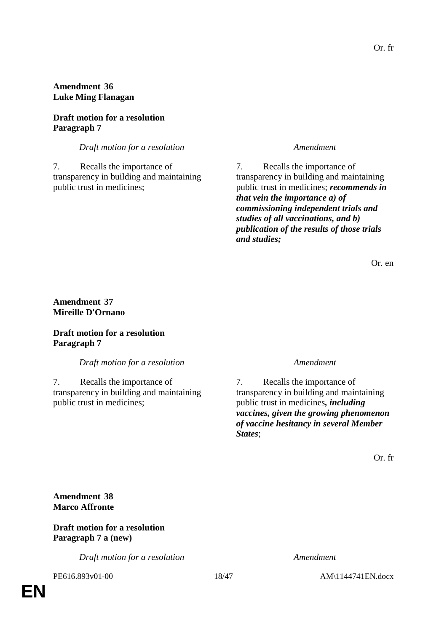# **Amendment 36 Luke Ming Flanagan**

# **Draft motion for a resolution Paragraph 7**

*Draft motion for a resolution Amendment*

7. Recalls the importance of transparency in building and maintaining public trust in medicines;

7. Recalls the importance of transparency in building and maintaining public trust in medicines; *recommends in that vein the importance a) of commissioning independent trials and studies of all vaccinations, and b) publication of the results of those trials and studies;*

Or. en

### **Amendment 37 Mireille D'Ornano**

### **Draft motion for a resolution Paragraph 7**

*Draft motion for a resolution Amendment*

7. Recalls the importance of transparency in building and maintaining public trust in medicines;

7. Recalls the importance of transparency in building and maintaining public trust in medicines*, including vaccines, given the growing phenomenon of vaccine hesitancy in several Member States*;

Or. fr

**Amendment 38 Marco Affronte**

**Draft motion for a resolution Paragraph 7 a (new)**

*Draft motion for a resolution Amendment*

PE616.893v01-00 18/47 AM\1144741EN.docx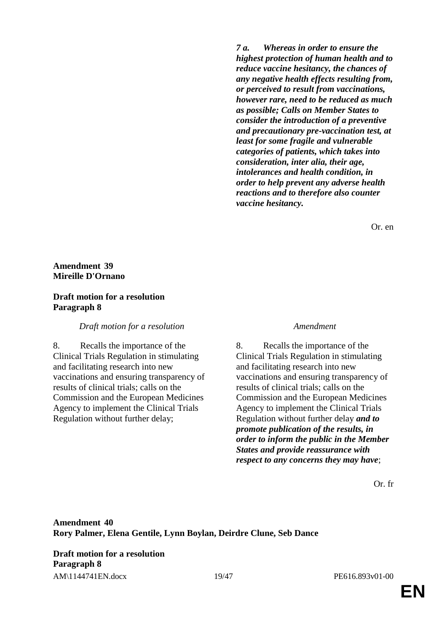*7 a. Whereas in order to ensure the highest protection of human health and to reduce vaccine hesitancy, the chances of any negative health effects resulting from, or perceived to result from vaccinations, however rare, need to be reduced as much as possible; Calls on Member States to consider the introduction of a preventive and precautionary pre-vaccination test, at least for some fragile and vulnerable categories of patients, which takes into consideration, inter alia, their age, intolerances and health condition, in order to help prevent any adverse health reactions and to therefore also counter vaccine hesitancy.*

Or. en

# **Amendment 39 Mireille D'Ornano**

### **Draft motion for a resolution Paragraph 8**

*Draft motion for a resolution Amendment*

8. Recalls the importance of the Clinical Trials Regulation in stimulating and facilitating research into new vaccinations and ensuring transparency of results of clinical trials; calls on the Commission and the European Medicines Agency to implement the Clinical Trials Regulation without further delay;

8. Recalls the importance of the Clinical Trials Regulation in stimulating and facilitating research into new vaccinations and ensuring transparency of results of clinical trials; calls on the Commission and the European Medicines Agency to implement the Clinical Trials Regulation without further delay *and to promote publication of the results, in order to inform the public in the Member States and provide reassurance with respect to any concerns they may have*;

Or. fr

AM\1144741EN.docx 19/47 PE616.893v01-00 **Draft motion for a resolution Paragraph 8**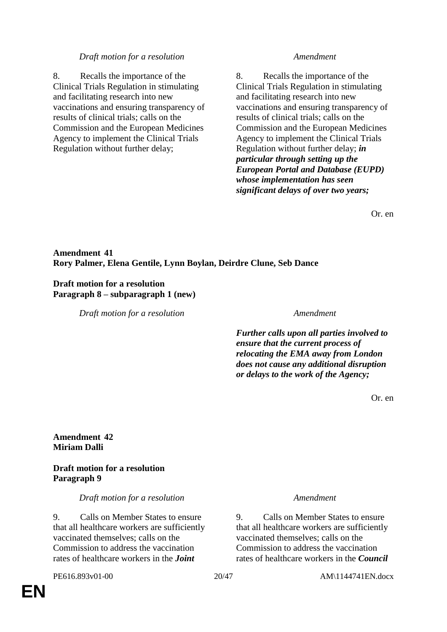#### *Draft motion for a resolution Amendment*

8. Recalls the importance of the Clinical Trials Regulation in stimulating and facilitating research into new vaccinations and ensuring transparency of results of clinical trials; calls on the Commission and the European Medicines Agency to implement the Clinical Trials Regulation without further delay;

8. Recalls the importance of the Clinical Trials Regulation in stimulating and facilitating research into new vaccinations and ensuring transparency of results of clinical trials; calls on the Commission and the European Medicines Agency to implement the Clinical Trials Regulation without further delay; *in particular through setting up the European Portal and Database (EUPD) whose implementation has seen significant delays of over two years;*

Or. en

# **Amendment 41 Rory Palmer, Elena Gentile, Lynn Boylan, Deirdre Clune, Seb Dance**

#### **Draft motion for a resolution Paragraph 8 – subparagraph 1 (new)**

*Draft motion for a resolution Amendment*

*Further calls upon all parties involved to ensure that the current process of relocating the EMA away from London does not cause any additional disruption or delays to the work of the Agency;*

Or. en

#### **Amendment 42 Miriam Dalli**

### **Draft motion for a resolution Paragraph 9**

*Draft motion for a resolution Amendment*

9. Calls on Member States to ensure that all healthcare workers are sufficiently vaccinated themselves; calls on the Commission to address the vaccination rates of healthcare workers in the *Joint* 

9. Calls on Member States to ensure that all healthcare workers are sufficiently vaccinated themselves; calls on the Commission to address the vaccination rates of healthcare workers in the *Council*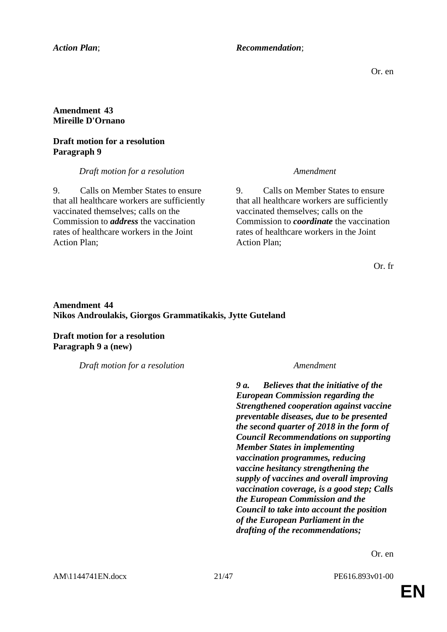#### *Action Plan*; *Recommendation*;

Or. en

### **Amendment 43 Mireille D'Ornano**

### **Draft motion for a resolution Paragraph 9**

*Draft motion for a resolution Amendment*

9. Calls on Member States to ensure that all healthcare workers are sufficiently vaccinated themselves; calls on the Commission to *address* the vaccination rates of healthcare workers in the Joint Action Plan;

9. Calls on Member States to ensure that all healthcare workers are sufficiently vaccinated themselves; calls on the Commission to *coordinate* the vaccination rates of healthcare workers in the Joint Action Plan;

Or. fr

# **Amendment 44 Nikos Androulakis, Giorgos Grammatikakis, Jytte Guteland**

**Draft motion for a resolution Paragraph 9 a (new)**

*Draft motion for a resolution Amendment*

*9 a. Believes that the initiative of the European Commission regarding the Strengthened cooperation against vaccine preventable diseases, due to be presented the second quarter of 2018 in the form of Council Recommendations on supporting Member States in implementing vaccination programmes, reducing vaccine hesitancy strengthening the supply of vaccines and overall improving vaccination coverage, is a good step; Calls the European Commission and the Council to take into account the position of the European Parliament in the drafting of the recommendations;*

Or. en

AM\1144741EN.docx 21/47 PE616.893v01-00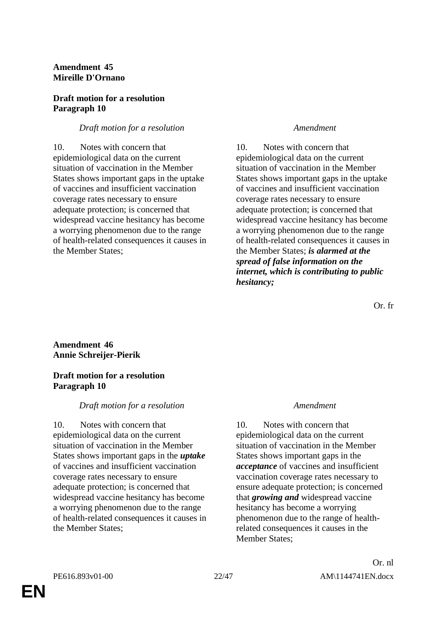# **Amendment 45 Mireille D'Ornano**

#### **Draft motion for a resolution Paragraph 10**

# *Draft motion for a resolution Amendment*

10. Notes with concern that epidemiological data on the current situation of vaccination in the Member States shows important gaps in the uptake of vaccines and insufficient vaccination coverage rates necessary to ensure adequate protection; is concerned that widespread vaccine hesitancy has become a worrying phenomenon due to the range of health-related consequences it causes in the Member States;

10. Notes with concern that epidemiological data on the current situation of vaccination in the Member States shows important gaps in the uptake of vaccines and insufficient vaccination coverage rates necessary to ensure adequate protection; is concerned that widespread vaccine hesitancy has become a worrying phenomenon due to the range of health-related consequences it causes in the Member States; *is alarmed at the spread of false information on the internet, which is contributing to public hesitancy;*

Or. fr

# **Amendment 46 Annie Schreijer-Pierik**

# **Draft motion for a resolution Paragraph 10**

# *Draft motion for a resolution Amendment*

10. Notes with concern that epidemiological data on the current situation of vaccination in the Member States shows important gaps in the *uptake* of vaccines and insufficient vaccination coverage rates necessary to ensure adequate protection; is concerned that widespread vaccine hesitancy has become a worrying phenomenon due to the range of health-related consequences it causes in the Member States;

10. Notes with concern that epidemiological data on the current situation of vaccination in the Member States shows important gaps in the *acceptance* of vaccines and insufficient vaccination coverage rates necessary to ensure adequate protection; is concerned that *growing and* widespread vaccine hesitancy has become a worrying phenomenon due to the range of healthrelated consequences it causes in the Member States;

**EN**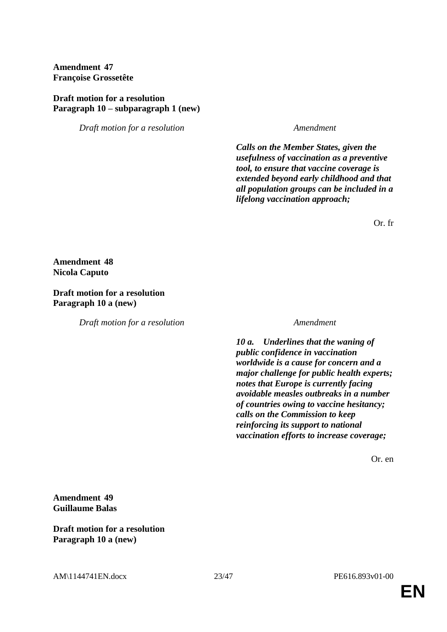**Amendment 47 Françoise Grossetête**

#### **Draft motion for a resolution Paragraph 10 – subparagraph 1 (new)**

*Draft motion for a resolution Amendment*

*Calls on the Member States, given the usefulness of vaccination as a preventive tool, to ensure that vaccine coverage is extended beyond early childhood and that all population groups can be included in a lifelong vaccination approach;*

Or. fr

**Amendment 48 Nicola Caputo**

**Draft motion for a resolution Paragraph 10 a (new)**

*Draft motion for a resolution Amendment*

*10 a. Underlines that the waning of public confidence in vaccination worldwide is a cause for concern and a major challenge for public health experts; notes that Europe is currently facing avoidable measles outbreaks in a number of countries owing to vaccine hesitancy; calls on the Commission to keep reinforcing its support to national vaccination efforts to increase coverage;*

Or. en

**Amendment 49 Guillaume Balas**

**Draft motion for a resolution Paragraph 10 a (new)**

AM\1144741EN.docx 23/47 PE616.893v01-00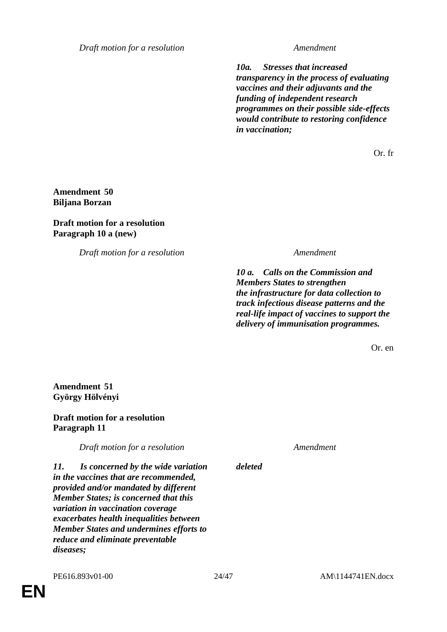*Draft motion for a resolution Amendment*

*10a. Stresses that increased transparency in the process of evaluating vaccines and their adjuvants and the funding of independent research programmes on their possible side-effects would contribute to restoring confidence in vaccination;*

Or. fr

**Amendment 50 Biljana Borzan**

#### **Draft motion for a resolution Paragraph 10 a (new)**

*Draft motion for a resolution Amendment*

*10 a. Calls on the Commission and Members States to strengthen the infrastructure for data collection to track infectious disease patterns and the real-life impact of vaccines to support the delivery of immunisation programmes.*

Or. en

**Amendment 51 György Hölvényi**

# **Draft motion for a resolution Paragraph 11**

*Draft motion for a resolution Amendment*

*deleted*

*11. Is concerned by the wide variation in the vaccines that are recommended, provided and/or mandated by different Member States; is concerned that this variation in vaccination coverage exacerbates health inequalities between Member States and undermines efforts to reduce and eliminate preventable diseases;*

**EN**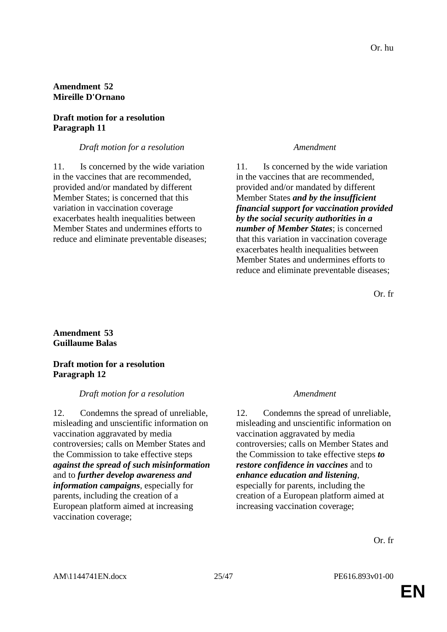### **Amendment 52 Mireille D'Ornano**

# **Draft motion for a resolution Paragraph 11**

#### *Draft motion for a resolution Amendment*

11. Is concerned by the wide variation in the vaccines that are recommended, provided and/or mandated by different Member States; is concerned that this variation in vaccination coverage exacerbates health inequalities between Member States and undermines efforts to reduce and eliminate preventable diseases;

11. Is concerned by the wide variation in the vaccines that are recommended, provided and/or mandated by different Member States *and by the insufficient financial support for vaccination provided by the social security authorities in a number of Member States*; is concerned that this variation in vaccination coverage exacerbates health inequalities between Member States and undermines efforts to reduce and eliminate preventable diseases;

Or. fr

### **Amendment 53 Guillaume Balas**

#### **Draft motion for a resolution Paragraph 12**

#### *Draft motion for a resolution Amendment*

12. Condemns the spread of unreliable, misleading and unscientific information on vaccination aggravated by media controversies; calls on Member States and the Commission to take effective steps *against the spread of such misinformation* and to *further develop awareness and information campaigns*, especially for parents, including the creation of a European platform aimed at increasing vaccination coverage;

12. Condemns the spread of unreliable, misleading and unscientific information on vaccination aggravated by media controversies; calls on Member States and the Commission to take effective steps *to restore confidence in vaccines* and to *enhance education and listening*, especially for parents, including the

creation of a European platform aimed at increasing vaccination coverage;

Or. fr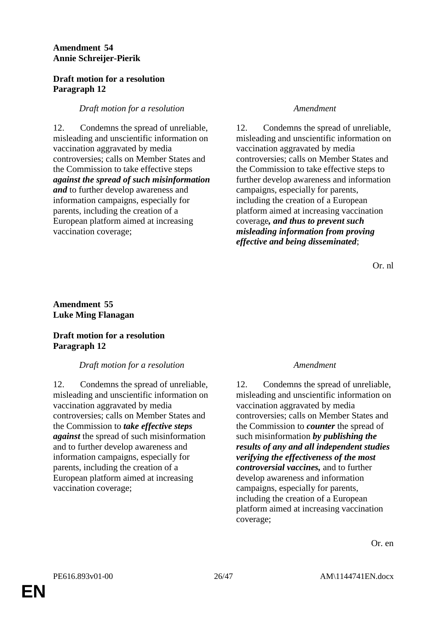# **Amendment 54 Annie Schreijer-Pierik**

### **Draft motion for a resolution Paragraph 12**

# *Draft motion for a resolution Amendment*

12. Condemns the spread of unreliable, misleading and unscientific information on vaccination aggravated by media controversies; calls on Member States and the Commission to take effective steps *against the spread of such misinformation and* to further develop awareness and information campaigns, especially for parents, including the creation of a European platform aimed at increasing vaccination coverage;

12. Condemns the spread of unreliable, misleading and unscientific information on vaccination aggravated by media controversies; calls on Member States and the Commission to take effective steps to further develop awareness and information campaigns, especially for parents, including the creation of a European platform aimed at increasing vaccination coverage*, and thus to prevent such misleading information from proving effective and being disseminated*;

Or. nl

# **Amendment 55 Luke Ming Flanagan**

### **Draft motion for a resolution Paragraph 12**

# *Draft motion for a resolution Amendment*

12. Condemns the spread of unreliable, misleading and unscientific information on vaccination aggravated by media controversies; calls on Member States and the Commission to *take effective steps against* the spread of such misinformation and to further develop awareness and information campaigns, especially for parents, including the creation of a European platform aimed at increasing vaccination coverage;

12. Condemns the spread of unreliable, misleading and unscientific information on vaccination aggravated by media controversies; calls on Member States and the Commission to *counter* the spread of such misinformation *by publishing the results of any and all independent studies verifying the effectiveness of the most controversial vaccines,* and to further develop awareness and information campaigns, especially for parents, including the creation of a European platform aimed at increasing vaccination coverage;

Or. en

**EN**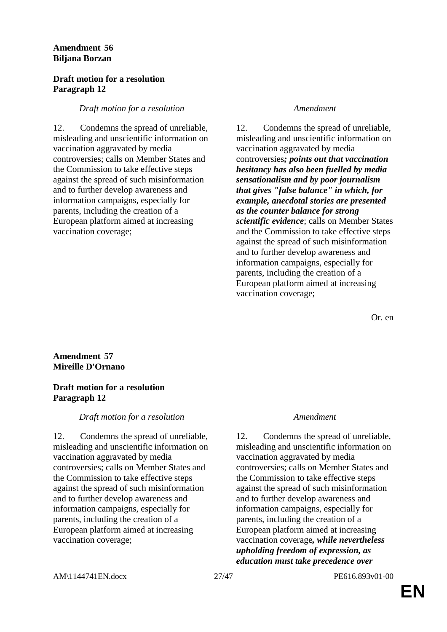# **Amendment 56 Biljana Borzan**

#### **Draft motion for a resolution Paragraph 12**

### *Draft motion for a resolution Amendment*

12. Condemns the spread of unreliable, misleading and unscientific information on vaccination aggravated by media controversies; calls on Member States and the Commission to take effective steps against the spread of such misinformation and to further develop awareness and information campaigns, especially for parents, including the creation of a European platform aimed at increasing vaccination coverage;

12. Condemns the spread of unreliable, misleading and unscientific information on vaccination aggravated by media controversies*; points out that vaccination hesitancy has also been fuelled by media sensationalism and by poor journalism that gives "false balance" in which, for example, anecdotal stories are presented as the counter balance for strong scientific evidence*; calls on Member States and the Commission to take effective steps against the spread of such misinformation and to further develop awareness and information campaigns, especially for parents, including the creation of a European platform aimed at increasing vaccination coverage;

Or. en

# **Amendment 57 Mireille D'Ornano**

### **Draft motion for a resolution Paragraph 12**

# *Draft motion for a resolution Amendment*

12. Condemns the spread of unreliable, misleading and unscientific information on vaccination aggravated by media controversies; calls on Member States and the Commission to take effective steps against the spread of such misinformation and to further develop awareness and information campaigns, especially for parents, including the creation of a European platform aimed at increasing vaccination coverage;

12. Condemns the spread of unreliable, misleading and unscientific information on vaccination aggravated by media controversies; calls on Member States and the Commission to take effective steps against the spread of such misinformation and to further develop awareness and information campaigns, especially for parents, including the creation of a European platform aimed at increasing vaccination coverage*, while nevertheless upholding freedom of expression, as education must take precedence over*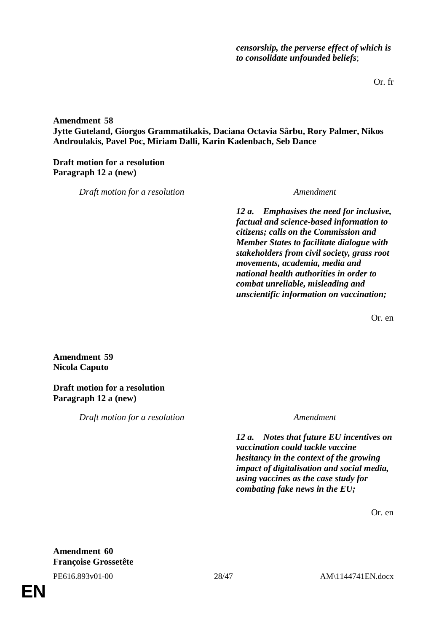Or. fr

**Amendment 58 Jytte Guteland, Giorgos Grammatikakis, Daciana Octavia Sârbu, Rory Palmer, Nikos Androulakis, Pavel Poc, Miriam Dalli, Karin Kadenbach, Seb Dance**

**Draft motion for a resolution Paragraph 12 a (new)**

*Draft motion for a resolution Amendment*

*12 a. Emphasises the need for inclusive, factual and science-based information to citizens; calls on the Commission and Member States to facilitate dialogue with stakeholders from civil society, grass root movements, academia, media and national health authorities in order to combat unreliable, misleading and unscientific information on vaccination;*

Or. en

**Amendment 59 Nicola Caputo**

**Draft motion for a resolution Paragraph 12 a (new)**

*Draft motion for a resolution Amendment*

*12 a. Notes that future EU incentives on vaccination could tackle vaccine hesitancy in the context of the growing impact of digitalisation and social media, using vaccines as the case study for combating fake news in the EU;*

Or. en

**Amendment 60 Françoise Grossetête**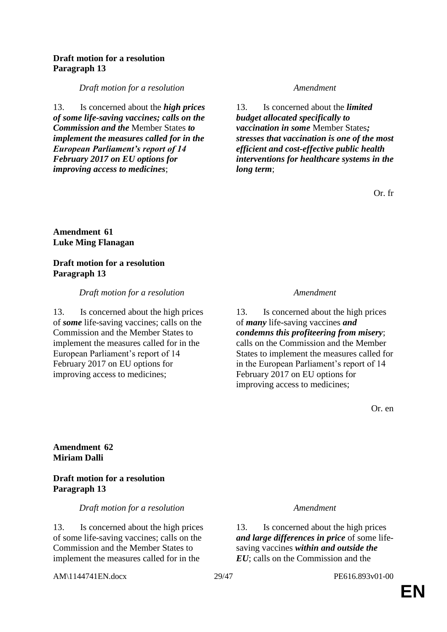#### **Draft motion for a resolution Paragraph 13**

#### *Draft motion for a resolution Amendment*

13. Is concerned about the *high prices of some life-saving vaccines; calls on the Commission and the* Member States *to implement the measures called for in the European Parliament's report of 14 February 2017 on EU options for improving access to medicines*;

13. Is concerned about the *limited budget allocated specifically to vaccination in some* Member States*; stresses that vaccination is one of the most efficient and cost-effective public health interventions for healthcare systems in the long term*;

Or. fr

### **Amendment 61 Luke Ming Flanagan**

#### **Draft motion for a resolution Paragraph 13**

*Draft motion for a resolution Amendment*

13. Is concerned about the high prices of *some* life-saving vaccines; calls on the Commission and the Member States to implement the measures called for in the European Parliament's report of 14 February 2017 on EU options for improving access to medicines;

13. Is concerned about the high prices of *many* life-saving vaccines *and condemns this profiteering from misery*; calls on the Commission and the Member States to implement the measures called for in the European Parliament's report of 14 February 2017 on EU options for improving access to medicines;

Or. en

### **Amendment 62 Miriam Dalli**

### **Draft motion for a resolution Paragraph 13**

*Draft motion for a resolution Amendment*

13. Is concerned about the high prices of some life-saving vaccines; calls on the Commission and the Member States to implement the measures called for in the

AM\1144741EN.docx 29/47 PE616.893v01-00

13. Is concerned about the high prices *and large differences in price* of some lifesaving vaccines *within and outside the EU*; calls on the Commission and the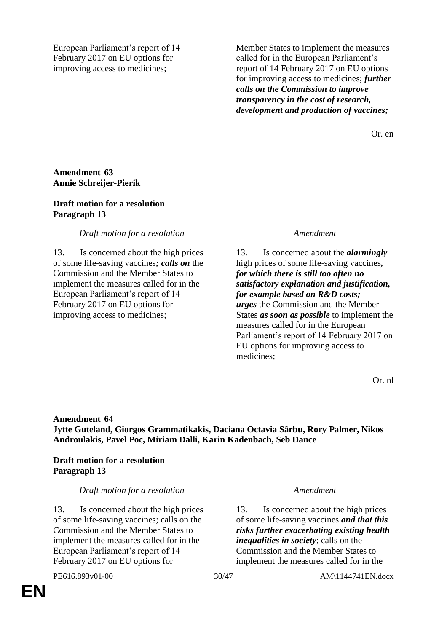European Parliament's report of 14 February 2017 on EU options for improving access to medicines;

Member States to implement the measures called for in the European Parliament's report of 14 February 2017 on EU options for improving access to medicines; *further calls on the Commission to improve transparency in the cost of research, development and production of vaccines;*

Or. en

### **Amendment 63 Annie Schreijer-Pierik**

#### **Draft motion for a resolution Paragraph 13**

### *Draft motion for a resolution Amendment*

13. Is concerned about the high prices of some life-saving vaccines*; calls on* the Commission and the Member States to implement the measures called for in the European Parliament's report of 14 February 2017 on EU options for improving access to medicines;

13. Is concerned about the *alarmingly*  high prices of some life-saving vaccines*, for which there is still too often no satisfactory explanation and justification, for example based on R&D costs; urges* the Commission and the Member States *as soon as possible* to implement the measures called for in the European Parliament's report of 14 February 2017 on EU options for improving access to medicines;

Or. nl

# **Amendment 64 Jytte Guteland, Giorgos Grammatikakis, Daciana Octavia Sârbu, Rory Palmer, Nikos Androulakis, Pavel Poc, Miriam Dalli, Karin Kadenbach, Seb Dance**

# **Draft motion for a resolution Paragraph 13**

# *Draft motion for a resolution Amendment*

13. Is concerned about the high prices of some life-saving vaccines; calls on the Commission and the Member States to implement the measures called for in the European Parliament's report of 14 February 2017 on EU options for

13. Is concerned about the high prices of some life-saving vaccines *and that this risks further exacerbating existing health inequalities in society*; calls on the Commission and the Member States to implement the measures called for in the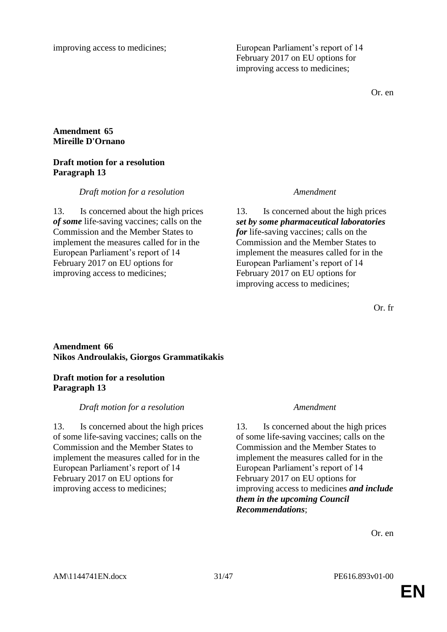**Amendment 65 Mireille D'Ornano**

### **Draft motion for a resolution Paragraph 13**

# *Draft motion for a resolution Amendment*

13. Is concerned about the high prices *of some* life-saving vaccines; calls on the Commission and the Member States to implement the measures called for in the European Parliament's report of 14 February 2017 on EU options for improving access to medicines;

13. Is concerned about the high prices *set by some pharmaceutical laboratories for* life-saving vaccines; calls on the Commission and the Member States to implement the measures called for in the European Parliament's report of 14 February 2017 on EU options for improving access to medicines;

Or. fr

# **Amendment 66 Nikos Androulakis, Giorgos Grammatikakis**

# **Draft motion for a resolution Paragraph 13**

# *Draft motion for a resolution Amendment*

13. Is concerned about the high prices of some life-saving vaccines; calls on the Commission and the Member States to implement the measures called for in the European Parliament's report of 14 February 2017 on EU options for improving access to medicines;

13. Is concerned about the high prices of some life-saving vaccines; calls on the Commission and the Member States to implement the measures called for in the European Parliament's report of 14 February 2017 on EU options for improving access to medicines *and include them in the upcoming Council Recommendations*;

Or. en

improving access to medicines; European Parliament's report of 14 February 2017 on EU options for improving access to medicines;

Or. en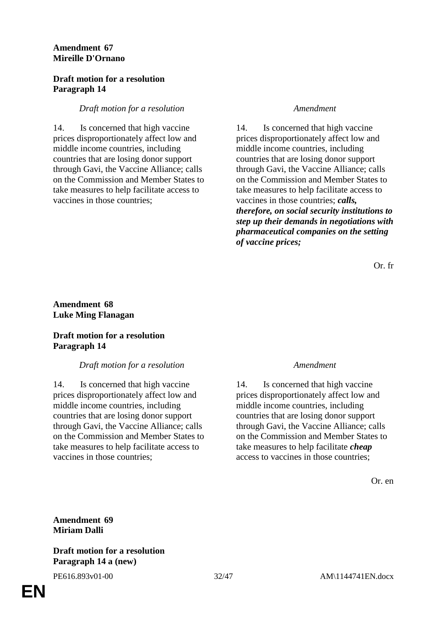# **Amendment 67 Mireille D'Ornano**

### **Draft motion for a resolution Paragraph 14**

### *Draft motion for a resolution Amendment*

14. Is concerned that high vaccine prices disproportionately affect low and middle income countries, including countries that are losing donor support through Gavi, the Vaccine Alliance; calls on the Commission and Member States to take measures to help facilitate access to vaccines in those countries;

14. Is concerned that high vaccine prices disproportionately affect low and middle income countries, including countries that are losing donor support through Gavi, the Vaccine Alliance; calls on the Commission and Member States to take measures to help facilitate access to vaccines in those countries; *calls, therefore, on social security institutions to step up their demands in negotiations with pharmaceutical companies on the setting of vaccine prices;*

Or. fr

# **Amendment 68 Luke Ming Flanagan**

# **Draft motion for a resolution Paragraph 14**

# *Draft motion for a resolution Amendment*

14. Is concerned that high vaccine prices disproportionately affect low and middle income countries, including countries that are losing donor support through Gavi, the Vaccine Alliance; calls on the Commission and Member States to take measures to help facilitate access to vaccines in those countries;

14. Is concerned that high vaccine prices disproportionately affect low and middle income countries, including countries that are losing donor support through Gavi, the Vaccine Alliance; calls on the Commission and Member States to take measures to help facilitate *cheap* access to vaccines in those countries;

Or. en

# **Amendment 69 Miriam Dalli**

#### **Draft motion for a resolution Paragraph 14 a (new)**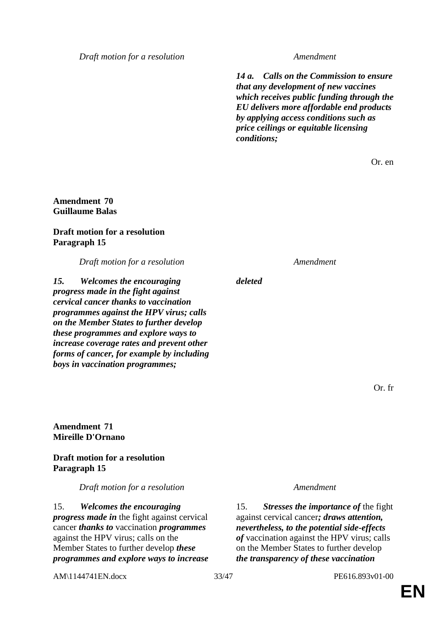*Draft motion for a resolution Amendment*

*14 a. Calls on the Commission to ensure that any development of new vaccines which receives public funding through the EU delivers more affordable end products by applying access conditions such as price ceilings or equitable licensing conditions;*

Or. en

### **Amendment 70 Guillaume Balas**

### **Draft motion for a resolution Paragraph 15**

*Draft motion for a resolution Amendment*

*15. Welcomes the encouraging progress made in the fight against cervical cancer thanks to vaccination programmes against the HPV virus; calls on the Member States to further develop these programmes and explore ways to increase coverage rates and prevent other forms of cancer, for example by including boys in vaccination programmes;*

**Amendment 71 Mireille D'Ornano**

### **Draft motion for a resolution Paragraph 15**

*Draft motion for a resolution Amendment*

15. *Welcomes the encouraging progress made in* the fight against cervical cancer *thanks to* vaccination *programmes*  against the HPV virus; calls on the Member States to further develop *these programmes and explore ways to increase* 

AM\1144741EN.docx 33/47 PE616.893v01-00

*deleted*

Or. fr

15. *Stresses the importance of* the fight against cervical cancer*; draws attention, nevertheless, to the potential side-effects of* vaccination against the HPV virus; calls on the Member States to further develop *the transparency of these vaccination*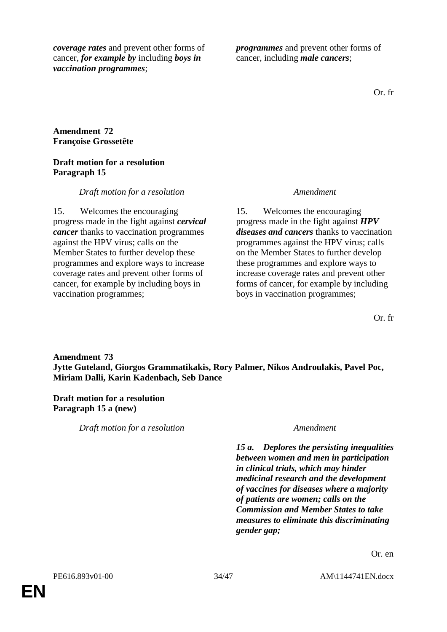*coverage rates* and prevent other forms of cancer, *for example by* including *boys in vaccination programmes*;

*programmes* and prevent other forms of cancer, including *male cancers*;

Or. fr

# **Amendment 72 Françoise Grossetête**

### **Draft motion for a resolution Paragraph 15**

# *Draft motion for a resolution Amendment*

15. Welcomes the encouraging progress made in the fight against *cervical cancer* thanks to vaccination programmes against the HPV virus; calls on the Member States to further develop these programmes and explore ways to increase coverage rates and prevent other forms of cancer, for example by including boys in vaccination programmes;

15. Welcomes the encouraging progress made in the fight against *HPV diseases and cancers* thanks to vaccination programmes against the HPV virus; calls on the Member States to further develop these programmes and explore ways to increase coverage rates and prevent other forms of cancer, for example by including boys in vaccination programmes;

Or. fr

# **Amendment 73 Jytte Guteland, Giorgos Grammatikakis, Rory Palmer, Nikos Androulakis, Pavel Poc, Miriam Dalli, Karin Kadenbach, Seb Dance**

### **Draft motion for a resolution Paragraph 15 a (new)**

*Draft motion for a resolution Amendment*

*15 a. Deplores the persisting inequalities between women and men in participation in clinical trials, which may hinder medicinal research and the development of vaccines for diseases where a majority of patients are women; calls on the Commission and Member States to take measures to eliminate this discriminating gender gap;*

Or. en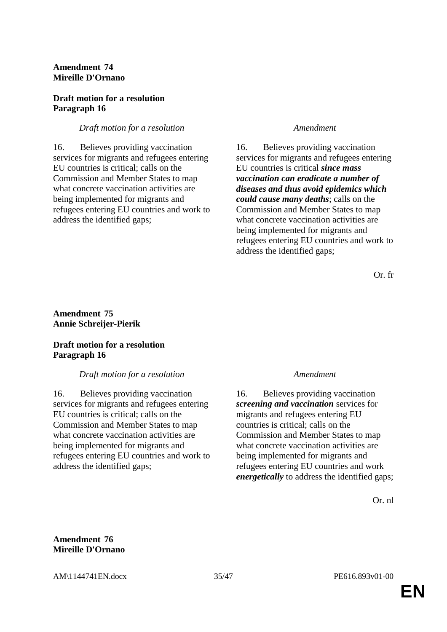### **Amendment 74 Mireille D'Ornano**

#### **Draft motion for a resolution Paragraph 16**

# *Draft motion for a resolution Amendment*

16. Believes providing vaccination services for migrants and refugees entering EU countries is critical; calls on the Commission and Member States to map what concrete vaccination activities are being implemented for migrants and refugees entering EU countries and work to address the identified gaps;

16. Believes providing vaccination services for migrants and refugees entering EU countries is critical *since mass vaccination can eradicate a number of diseases and thus avoid epidemics which could cause many deaths*; calls on the Commission and Member States to map what concrete vaccination activities are being implemented for migrants and refugees entering EU countries and work to address the identified gaps;

Or. fr

# **Amendment 75 Annie Schreijer-Pierik**

# **Draft motion for a resolution Paragraph 16**

# *Draft motion for a resolution Amendment*

16. Believes providing vaccination services for migrants and refugees entering EU countries is critical; calls on the Commission and Member States to map what concrete vaccination activities are being implemented for migrants and refugees entering EU countries and work to address the identified gaps;

16. Believes providing vaccination *screening and vaccination* services for migrants and refugees entering EU countries is critical; calls on the Commission and Member States to map what concrete vaccination activities are being implemented for migrants and refugees entering EU countries and work *energetically* to address the identified gaps;

Or. nl

### **Amendment 76 Mireille D'Ornano**

AM\1144741EN.docx 35/47 PE616.893v01-00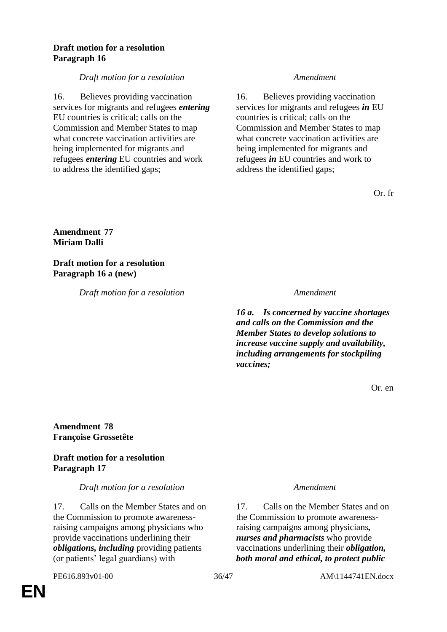### **Draft motion for a resolution Paragraph 16**

*Draft motion for a resolution Amendment*

16. Believes providing vaccination services for migrants and refugees *entering* EU countries is critical; calls on the Commission and Member States to map what concrete vaccination activities are being implemented for migrants and refugees *entering* EU countries and work to address the identified gaps;

16. Believes providing vaccination services for migrants and refugees *in* EU countries is critical; calls on the Commission and Member States to map what concrete vaccination activities are being implemented for migrants and refugees *in* EU countries and work to address the identified gaps;

Or. fr

# **Amendment 77 Miriam Dalli**

**Draft motion for a resolution Paragraph 16 a (new)**

*Draft motion for a resolution Amendment*

*16 a. Is concerned by vaccine shortages and calls on the Commission and the Member States to develop solutions to increase vaccine supply and availability, including arrangements for stockpiling vaccines;*

Or. en

**Amendment 78 Françoise Grossetête**

# **Draft motion for a resolution Paragraph 17**

*Draft motion for a resolution Amendment*

17. Calls on the Member States and on the Commission to promote awarenessraising campaigns among physicians who provide vaccinations underlining their *obligations, including* providing patients (or patients' legal guardians) with

17. Calls on the Member States and on the Commission to promote awarenessraising campaigns among physicians*, nurses and pharmacists* who provide vaccinations underlining their *obligation, both moral and ethical, to protect public*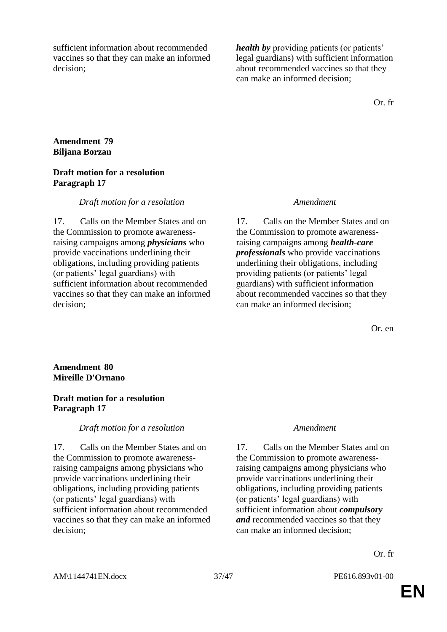sufficient information about recommended vaccines so that they can make an informed decision;

*health by* providing patients (or patients' legal guardians) with sufficient information about recommended vaccines so that they can make an informed decision;

Or. fr

### **Amendment 79 Biljana Borzan**

#### **Draft motion for a resolution Paragraph 17**

#### *Draft motion for a resolution Amendment*

17. Calls on the Member States and on the Commission to promote awarenessraising campaigns among *physicians* who provide vaccinations underlining their obligations, including providing patients (or patients' legal guardians) with sufficient information about recommended vaccines so that they can make an informed decision;

17. Calls on the Member States and on the Commission to promote awarenessraising campaigns among *health-care professionals* who provide vaccinations underlining their obligations, including providing patients (or patients' legal guardians) with sufficient information about recommended vaccines so that they can make an informed decision;

Or. en

### **Amendment 80 Mireille D'Ornano**

### **Draft motion for a resolution Paragraph 17**

# *Draft motion for a resolution Amendment*

17. Calls on the Member States and on the Commission to promote awarenessraising campaigns among physicians who provide vaccinations underlining their obligations, including providing patients (or patients' legal guardians) with sufficient information about recommended vaccines so that they can make an informed decision;

17. Calls on the Member States and on the Commission to promote awarenessraising campaigns among physicians who provide vaccinations underlining their obligations, including providing patients (or patients' legal guardians) with sufficient information about *compulsory and* recommended vaccines so that they can make an informed decision;

Or. fr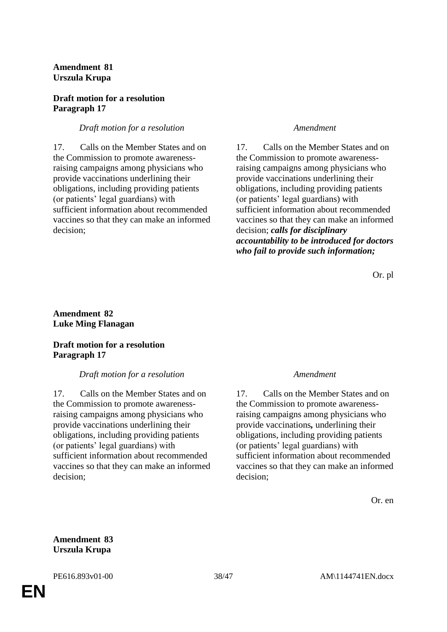**Amendment 81 Urszula Krupa**

#### **Draft motion for a resolution Paragraph 17**

### *Draft motion for a resolution Amendment*

17. Calls on the Member States and on the Commission to promote awarenessraising campaigns among physicians who provide vaccinations underlining their obligations, including providing patients (or patients' legal guardians) with sufficient information about recommended vaccines so that they can make an informed decision;

17. Calls on the Member States and on the Commission to promote awarenessraising campaigns among physicians who provide vaccinations underlining their obligations, including providing patients (or patients' legal guardians) with sufficient information about recommended vaccines so that they can make an informed decision; *calls for disciplinary accountability to be introduced for doctors who fail to provide such information;*

Or. pl

### **Amendment 82 Luke Ming Flanagan**

### **Draft motion for a resolution Paragraph 17**

# *Draft motion for a resolution Amendment*

17. Calls on the Member States and on the Commission to promote awarenessraising campaigns among physicians who provide vaccinations underlining their obligations, including providing patients (or patients' legal guardians) with sufficient information about recommended vaccines so that they can make an informed decision;

17. Calls on the Member States and on the Commission to promote awarenessraising campaigns among physicians who provide vaccinations*,* underlining their obligations, including providing patients (or patients' legal guardians) with sufficient information about recommended vaccines so that they can make an informed decision;

Or. en

### **Amendment 83 Urszula Krupa**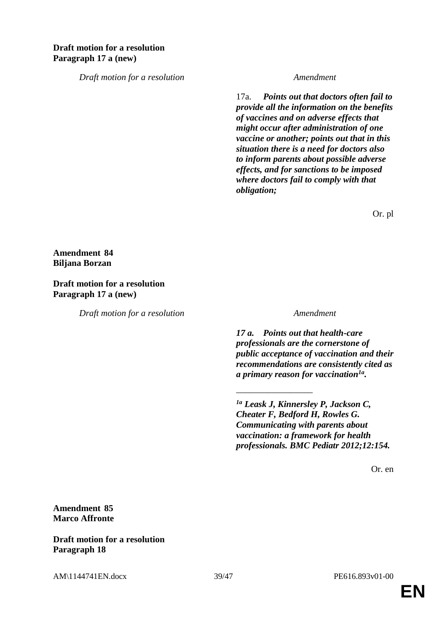# **Draft motion for a resolution Paragraph 17 a (new)**

*Draft motion for a resolution Amendment*

17a. *Points out that doctors often fail to provide all the information on the benefits of vaccines and on adverse effects that might occur after administration of one vaccine or another; points out that in this situation there is a need for doctors also to inform parents about possible adverse effects, and for sanctions to be imposed where doctors fail to comply with that obligation;*

Or. pl

**Amendment 84 Biljana Borzan**

**Draft motion for a resolution Paragraph 17 a (new)**

*Draft motion for a resolution Amendment*

*17 a. Points out that health-care professionals are the cornerstone of public acceptance of vaccination and their recommendations are consistently cited as a primary reason for vaccination1a .*

*1a Leask J, Kinnersley P, Jackson C, Cheater F, Bedford H, Rowles G. Communicating with parents about vaccination: a framework for health professionals. BMC Pediatr 2012;12:154.*

\_\_\_\_\_\_\_\_\_\_\_\_\_\_\_\_\_

Or. en

**Amendment 85 Marco Affronte**

**Draft motion for a resolution Paragraph 18**

AM\1144741EN.docx 39/47 PE616.893v01-00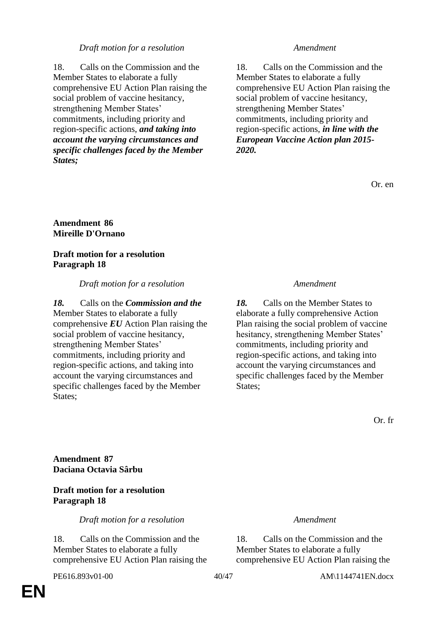### *Draft motion for a resolution Amendment*

18. Calls on the Commission and the Member States to elaborate a fully comprehensive EU Action Plan raising the social problem of vaccine hesitancy, strengthening Member States' commitments, including priority and region-specific actions, *and taking into account the varying circumstances and specific challenges faced by the Member States;*

18. Calls on the Commission and the Member States to elaborate a fully comprehensive EU Action Plan raising the social problem of vaccine hesitancy, strengthening Member States' commitments, including priority and region-specific actions, *in line with the European Vaccine Action plan 2015- 2020.*

Or. en

#### **Amendment 86 Mireille D'Ornano**

### **Draft motion for a resolution Paragraph 18**

### *Draft motion for a resolution Amendment*

*18.* Calls on the *Commission and the*  Member States to elaborate a fully comprehensive *EU* Action Plan raising the social problem of vaccine hesitancy, strengthening Member States' commitments, including priority and region-specific actions, and taking into account the varying circumstances and specific challenges faced by the Member States;

*18.* Calls on the Member States to elaborate a fully comprehensive Action Plan raising the social problem of vaccine hesitancy, strengthening Member States' commitments, including priority and region-specific actions, and taking into account the varying circumstances and specific challenges faced by the Member States:

Or. fr

**Amendment 87 Daciana Octavia Sârbu**

# **Draft motion for a resolution Paragraph 18**

*Draft motion for a resolution Amendment*

18. Calls on the Commission and the Member States to elaborate a fully comprehensive EU Action Plan raising the

18. Calls on the Commission and the Member States to elaborate a fully comprehensive EU Action Plan raising the

PE616.893v01-00 40/47 AM\1144741EN.docx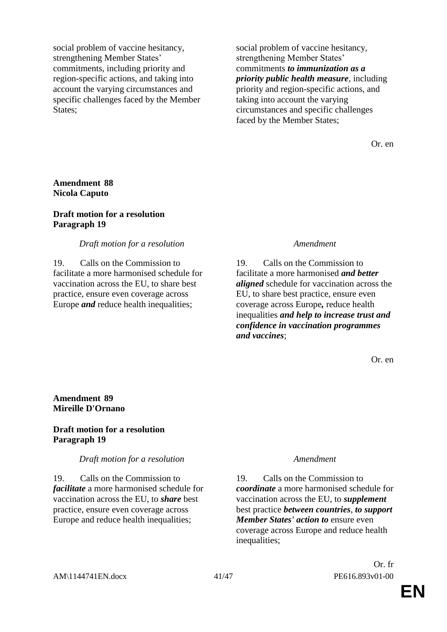social problem of vaccine hesitancy, strengthening Member States' commitments, including priority and region-specific actions, and taking into account the varying circumstances and specific challenges faced by the Member States:

social problem of vaccine hesitancy, strengthening Member States' commitments *to immunization as a priority public health measure*, including priority and region-specific actions, and taking into account the varying circumstances and specific challenges faced by the Member States;

Or. en

### **Amendment 88 Nicola Caputo**

#### **Draft motion for a resolution Paragraph 19**

#### *Draft motion for a resolution Amendment*

19. Calls on the Commission to facilitate a more harmonised schedule for vaccination across the EU, to share best practice, ensure even coverage across Europe *and* reduce health inequalities;

19. Calls on the Commission to facilitate a more harmonised *and better aligned* schedule for vaccination across the EU, to share best practice, ensure even coverage across Europe*,* reduce health inequalities *and help to increase trust and confidence in vaccination programmes and vaccines*;

Or. en

### **Amendment 89 Mireille D'Ornano**

### **Draft motion for a resolution Paragraph 19**

#### *Draft motion for a resolution Amendment*

19. Calls on the Commission to *facilitate* a more harmonised schedule for vaccination across the EU, to *share* best practice, ensure even coverage across Europe and reduce health inequalities;

19. Calls on the Commission to *coordinate* a more harmonised schedule for vaccination across the EU, to *supplement* best practice *between countries*, *to support Member States' action to* ensure even coverage across Europe and reduce health inequalities;

Or. fr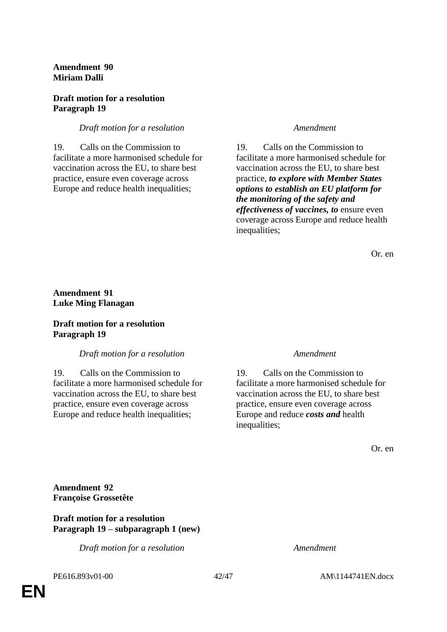**Amendment 90 Miriam Dalli**

#### **Draft motion for a resolution Paragraph 19**

### *Draft motion for a resolution Amendment*

19. Calls on the Commission to facilitate a more harmonised schedule for vaccination across the EU, to share best practice, ensure even coverage across Europe and reduce health inequalities;

19. Calls on the Commission to facilitate a more harmonised schedule for vaccination across the EU, to share best practice, *to explore with Member States options to establish an EU platform for the monitoring of the safety and effectiveness of vaccines, to* ensure even coverage across Europe and reduce health inequalities;

Or. en

# **Amendment 91 Luke Ming Flanagan**

### **Draft motion for a resolution Paragraph 19**

#### *Draft motion for a resolution Amendment*

19. Calls on the Commission to facilitate a more harmonised schedule for vaccination across the EU, to share best practice, ensure even coverage across Europe and reduce health inequalities;

19. Calls on the Commission to facilitate a more harmonised schedule for vaccination across the EU, to share best practice, ensure even coverage across Europe and reduce *costs and* health inequalities;

Or. en

**Amendment 92 Françoise Grossetête**

### **Draft motion for a resolution Paragraph 19 – subparagraph 1 (new)**

*Draft motion for a resolution Amendment*

**EN**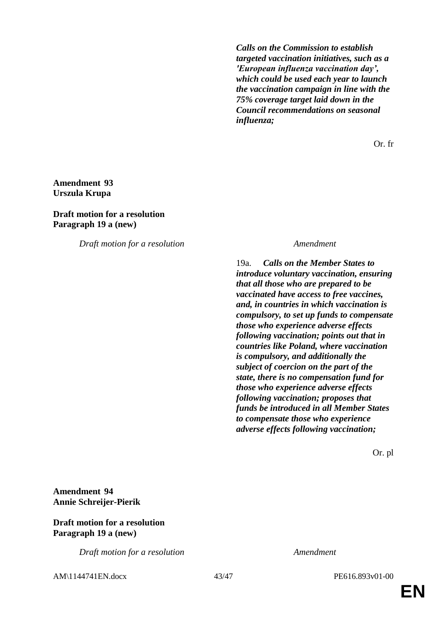*Calls on the Commission to establish targeted vaccination initiatives, such as a 'European influenza vaccination day', which could be used each year to launch the vaccination campaign in line with the 75% coverage target laid down in the Council recommendations on seasonal influenza;*

Or. fr

# **Amendment 93 Urszula Krupa**

#### **Draft motion for a resolution Paragraph 19 a (new)**

*Draft motion for a resolution Amendment*

19a. *Calls on the Member States to introduce voluntary vaccination, ensuring that all those who are prepared to be vaccinated have access to free vaccines, and, in countries in which vaccination is compulsory, to set up funds to compensate those who experience adverse effects following vaccination; points out that in countries like Poland, where vaccination is compulsory, and additionally the subject of coercion on the part of the state, there is no compensation fund for those who experience adverse effects following vaccination; proposes that funds be introduced in all Member States to compensate those who experience adverse effects following vaccination;*

Or. pl

**Amendment 94 Annie Schreijer-Pierik**

#### **Draft motion for a resolution Paragraph 19 a (new)**

*Draft motion for a resolution Amendment*

AM\1144741EN.docx 43/47 PE616.893v01-00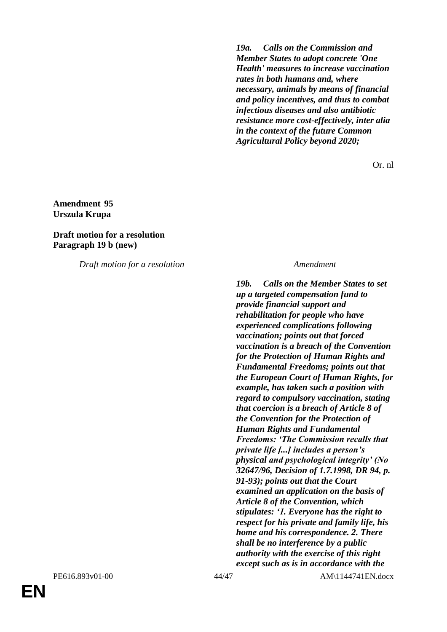*19a. Calls on the Commission and Member States to adopt concrete 'One Health' measures to increase vaccination rates in both humans and, where necessary, animals by means of financial and policy incentives, and thus to combat infectious diseases and also antibiotic resistance more cost-effectively, inter alia in the context of the future Common Agricultural Policy beyond 2020;*

Or. nl

### **Amendment 95 Urszula Krupa**

### **Draft motion for a resolution Paragraph 19 b (new)**

*Draft motion for a resolution Amendment*

*19b. Calls on the Member States to set up a targeted compensation fund to provide financial support and rehabilitation for people who have experienced complications following vaccination; points out that forced vaccination is a breach of the Convention for the Protection of Human Rights and Fundamental Freedoms; points out that the European Court of Human Rights, for example, has taken such a position with regard to compulsory vaccination, stating that coercion is a breach of Article 8 of the Convention for the Protection of Human Rights and Fundamental Freedoms: 'The Commission recalls that private life [...] includes a person's physical and psychological integrity' (No 32647/96, Decision of 1.7.1998, DR 94, p. 91-93); points out that the Court examined an application on the basis of Article 8 of the Convention, which stipulates: '1. Everyone has the right to respect for his private and family life, his home and his correspondence. 2. There shall be no interference by a public authority with the exercise of this right except such as is in accordance with the*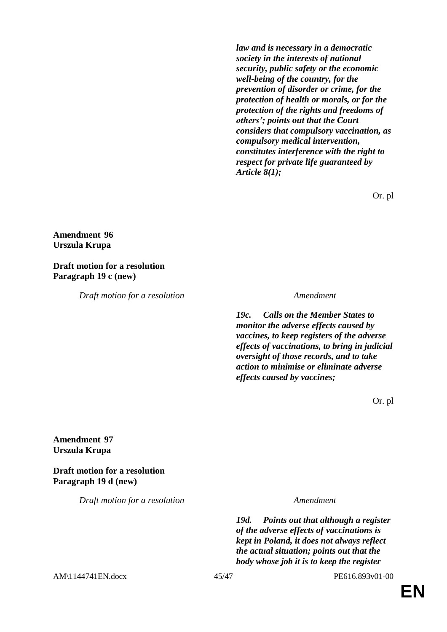*law and is necessary in a democratic society in the interests of national security, public safety or the economic well-being of the country, for the prevention of disorder or crime, for the protection of health or morals, or for the protection of the rights and freedoms of others'; points out that the Court considers that compulsory vaccination, as compulsory medical intervention, constitutes interference with the right to respect for private life guaranteed by Article 8(1);*

Or. pl

# **Amendment 96 Urszula Krupa**

#### **Draft motion for a resolution Paragraph 19 c (new)**

*Draft motion for a resolution Amendment*

*19c. Calls on the Member States to monitor the adverse effects caused by vaccines, to keep registers of the adverse effects of vaccinations, to bring in judicial oversight of those records, and to take action to minimise or eliminate adverse effects caused by vaccines;*

Or. pl

### **Amendment 97 Urszula Krupa**

**Draft motion for a resolution Paragraph 19 d (new)**

*Draft motion for a resolution Amendment*

*19d. Points out that although a register of the adverse effects of vaccinations is kept in Poland, it does not always reflect the actual situation; points out that the body whose job it is to keep the register* 

AM\1144741EN.docx 45/47 PE616.893v01-00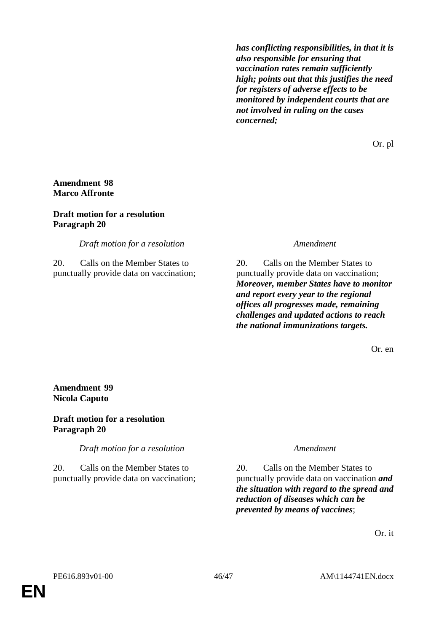*has conflicting responsibilities, in that it is also responsible for ensuring that vaccination rates remain sufficiently high; points out that this justifies the need for registers of adverse effects to be monitored by independent courts that are not involved in ruling on the cases concerned;*

Or. pl

# **Amendment 98 Marco Affronte**

#### **Draft motion for a resolution Paragraph 20**

*Draft motion for a resolution Amendment*

20. Calls on the Member States to punctually provide data on vaccination;

20. Calls on the Member States to punctually provide data on vaccination; *Moreover, member States have to monitor and report every year to the regional offices all progresses made, remaining challenges and updated actions to reach the national immunizations targets.*

Or. en

### **Amendment 99 Nicola Caputo**

### **Draft motion for a resolution Paragraph 20**

*Draft motion for a resolution Amendment*

20. Calls on the Member States to punctually provide data on vaccination;

20. Calls on the Member States to punctually provide data on vaccination *and the situation with regard to the spread and reduction of diseases which can be prevented by means of vaccines*;

Or. it